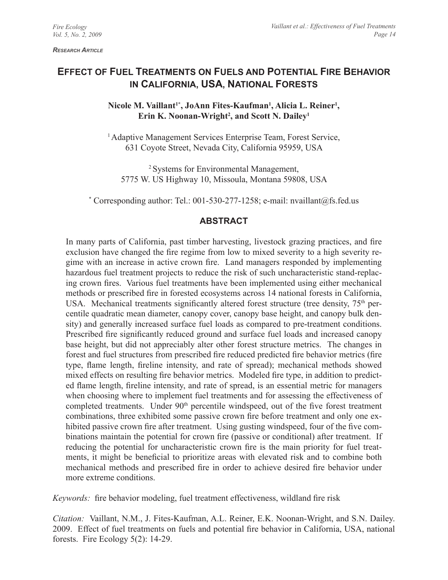*Research Article*

# **Effect of Fuel Treatments on Fuels and Potential Fire Behavior in California, USA, National Forests**

Nicole M. Vaillant<sup>1\*</sup>, JoAnn Fites-Kaufman<sup>1</sup>, Alicia L. Reiner<sup>1</sup>, Erin K. Noonan-Wright<sup>2</sup>, and Scott N. Dailey<sup>1</sup>

<sup>1</sup> Adaptive Management Services Enterprise Team, Forest Service, 631 Coyote Street, Nevada City, California 95959, USA

2 Systems for Environmental Management, 5775 W. US Highway 10, Missoula, Montana 59808, USA

\* Corresponding author: Tel.: 001-530-277-1258; e-mail: nvaillant@fs.fed.us

## **ABSTRACT**

In many parts of California, past timber harvesting, livestock grazing practices, and fire exclusion have changed the fire regime from low to mixed severity to a high severity regime with an increase in active crown fire. Land managers responded by implementing hazardous fuel treatment projects to reduce the risk of such uncharacteristic stand-replacing crown fires. Various fuel treatments have been implemented using either mechanical methods or prescribed fire in forested ecosystems across 14 national forests in California, USA. Mechanical treatments significantly altered forest structure (tree density,  $75<sup>th</sup>$  percentile quadratic mean diameter, canopy cover, canopy base height, and canopy bulk density) and generally increased surface fuel loads as compared to pre-treatment conditions. Prescribed fire significantly reduced ground and surface fuel loads and increased canopy base height, but did not appreciably alter other forest structure metrics. The changes in forest and fuel structures from prescribed fire reduced predicted fire behavior metrics (fire type, flame length, fireline intensity, and rate of spread); mechanical methods showed mixed effects on resulting fire behavior metrics. Modeled fire type, in addition to predicted flame length, fireline intensity, and rate of spread, is an essential metric for managers when choosing where to implement fuel treatments and for assessing the effectiveness of completed treatments. Under 90<sup>th</sup> percentile windspeed, out of the five forest treatment combinations, three exhibited some passive crown fire before treatment and only one exhibited passive crown fire after treatment. Using gusting windspeed, four of the five combinations maintain the potential for crown fire (passive or conditional) after treatment. If reducing the potential for uncharacteristic crown fire is the main priority for fuel treatments, it might be beneficial to prioritize areas with elevated risk and to combine both mechanical methods and prescribed fire in order to achieve desired fire behavior under more extreme conditions.

*Keywords:* fire behavior modeling, fuel treatment effectiveness, wildland fire risk

*Citation:* Vaillant, N.M., J. Fites-Kaufman, A.L. Reiner, E.K. Noonan-Wright, and S.N. Dailey. 2009. Effect of fuel treatments on fuels and potential fire behavior in California, USA, national forests. Fire Ecology 5(2): 14-29.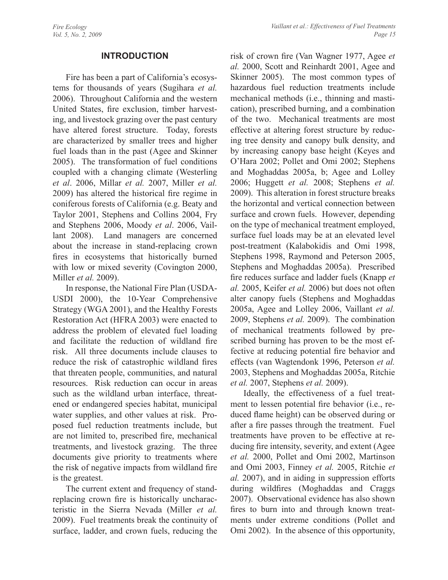#### **INTRODUCTION**

Fire has been a part of California's ecosystems for thousands of years (Sugihara *et al.*  2006). Throughout California and the western United States, fire exclusion, timber harvesting, and livestock grazing over the past century have altered forest structure. Today, forests are characterized by smaller trees and higher fuel loads than in the past (Agee and Skinner 2005). The transformation of fuel conditions coupled with a changing climate (Westerling *et al*. 2006, Millar *et al.* 2007, Miller *et al.*  2009) has altered the historical fire regime in coniferous forests of California (e.g. Beaty and Taylor 2001, Stephens and Collins 2004, Fry and Stephens 2006, Moody *et al*. 2006, Vaillant 2008). Land managers are concerned about the increase in stand-replacing crown fires in ecosystems that historically burned with low or mixed severity (Covington 2000, Miller *et al.* 2009).

In response, the National Fire Plan (USDA-USDI 2000), the 10-Year Comprehensive Strategy (WGA 2001), and the Healthy Forests Restoration Act (HFRA 2003) were enacted to address the problem of elevated fuel loading and facilitate the reduction of wildland fire risk. All three documents include clauses to reduce the risk of catastrophic wildland fires that threaten people, communities, and natural resources. Risk reduction can occur in areas such as the wildland urban interface, threatened or endangered species habitat, municipal water supplies, and other values at risk. Proposed fuel reduction treatments include, but are not limited to, prescribed fire, mechanical treatments, and livestock grazing. The three documents give priority to treatments where the risk of negative impacts from wildland fire is the greatest.

The current extent and frequency of standreplacing crown fire is historically uncharacteristic in the Sierra Nevada (Miller *et al.*  2009). Fuel treatments break the continuity of surface, ladder, and crown fuels, reducing the

risk of crown fire (Van Wagner 1977, Agee *et al.* 2000, Scott and Reinhardt 2001, Agee and Skinner 2005). The most common types of hazardous fuel reduction treatments include mechanical methods (i.e., thinning and mastication), prescribed burning, and a combination of the two. Mechanical treatments are most effective at altering forest structure by reducing tree density and canopy bulk density, and by increasing canopy base height (Keyes and O'Hara 2002; Pollet and Omi 2002; Stephens and Moghaddas 2005a, b; Agee and Lolley 2006; Huggett *et al.* 2008; Stephens *et al.* 2009). This alteration in forest structure breaks the horizontal and vertical connection between surface and crown fuels. However, depending on the type of mechanical treatment employed, surface fuel loads may be at an elevated level post-treatment (Kalabokidis and Omi 1998, Stephens 1998, Raymond and Peterson 2005, Stephens and Moghaddas 2005a). Prescribed fire reduces surface and ladder fuels (Knapp *et al.* 2005, Keifer *et al.* 2006) but does not often alter canopy fuels (Stephens and Moghaddas 2005a, Agee and Lolley 2006, Vaillant *et al.*  2009, Stephens *et al.* 2009). The combination of mechanical treatments followed by prescribed burning has proven to be the most effective at reducing potential fire behavior and effects (van Wagtendonk 1996, Peterson *et al.* 2003, Stephens and Moghaddas 2005a, Ritchie *et al.* 2007, Stephens *et al.* 2009).

Ideally, the effectiveness of a fuel treatment to lessen potential fire behavior (i.e., reduced flame height) can be observed during or after a fire passes through the treatment. Fuel treatments have proven to be effective at reducing fire intensity, severity, and extent (Agee *et al.* 2000, Pollet and Omi 2002, Martinson and Omi 2003, Finney *et al.* 2005, Ritchie *et al.* 2007), and in aiding in suppression efforts during wildfires (Moghaddas and Craggs 2007). Observational evidence has also shown fires to burn into and through known treatments under extreme conditions (Pollet and Omi 2002). In the absence of this opportunity,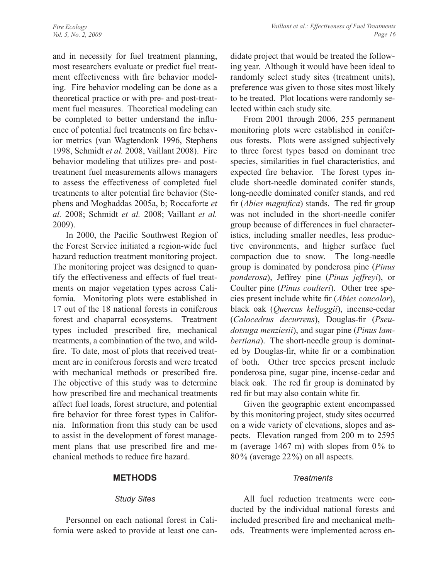and in necessity for fuel treatment planning, most researchers evaluate or predict fuel treatment effectiveness with fire behavior modeling. Fire behavior modeling can be done as a theoretical practice or with pre- and post-treatment fuel measures. Theoretical modeling can be completed to better understand the influence of potential fuel treatments on fire behavior metrics (van Wagtendonk 1996, Stephens 1998, Schmidt *et al.* 2008, Vaillant 2008). Fire behavior modeling that utilizes pre- and posttreatment fuel measurements allows managers to assess the effectiveness of completed fuel treatments to alter potential fire behavior (Stephens and Moghaddas 2005a, b; Roccaforte *et al.* 2008; Schmidt *et al.* 2008; Vaillant *et al.*  2009).

In 2000, the Pacific Southwest Region of the Forest Service initiated a region-wide fuel hazard reduction treatment monitoring project. The monitoring project was designed to quantify the effectiveness and effects of fuel treatments on major vegetation types across California. Monitoring plots were established in 17 out of the 18 national forests in coniferous forest and chaparral ecosystems. Treatment types included prescribed fire, mechanical treatments, a combination of the two, and wildfire. To date, most of plots that received treatment are in coniferous forests and were treated with mechanical methods or prescribed fire. The objective of this study was to determine how prescribed fire and mechanical treatments affect fuel loads, forest structure, and potential fire behavior for three forest types in California. Information from this study can be used to assist in the development of forest management plans that use prescribed fire and mechanical methods to reduce fire hazard.

## **METHODS**

## *Study Sites*

Personnel on each national forest in California were asked to provide at least one candidate project that would be treated the following year. Although it would have been ideal to randomly select study sites (treatment units), preference was given to those sites most likely to be treated. Plot locations were randomly selected within each study site.

From 2001 through 2006, 255 permanent monitoring plots were established in coniferous forests. Plots were assigned subjectively to three forest types based on dominant tree species, similarities in fuel characteristics, and expected fire behavior. The forest types include short-needle dominated conifer stands, long-needle dominated conifer stands, and red fir (*Abies magnifica*) stands. The red fir group was not included in the short-needle conifer group because of differences in fuel characteristics, including smaller needles, less productive environments, and higher surface fuel compaction due to snow. The long-needle group is dominated by ponderosa pine (*Pinus ponderosa*), Jeffrey pine (*Pinus jeffreyi*), or Coulter pine (*Pinus coulteri*). Other tree species present include white fir (*Abies concolor*), black oak (*Quercus kelloggii*), incense-cedar (*Calocedrus decurrens*), Douglas-fir (*Pseudotsuga menziesii*), and sugar pine (*Pinus lambertiana*). The short-needle group is dominated by Douglas-fir, white fir or a combination of both. Other tree species present include ponderosa pine, sugar pine, incense-cedar and black oak. The red fir group is dominated by red fir but may also contain white fir.

Given the geographic extent encompassed by this monitoring project, study sites occurred on a wide variety of elevations, slopes and aspects. Elevation ranged from 200 m to 2595 m (average  $1467$  m) with slopes from  $0\%$  to 80% (average 22%) on all aspects.

#### *Treatments*

All fuel reduction treatments were conducted by the individual national forests and included prescribed fire and mechanical methods. Treatments were implemented across en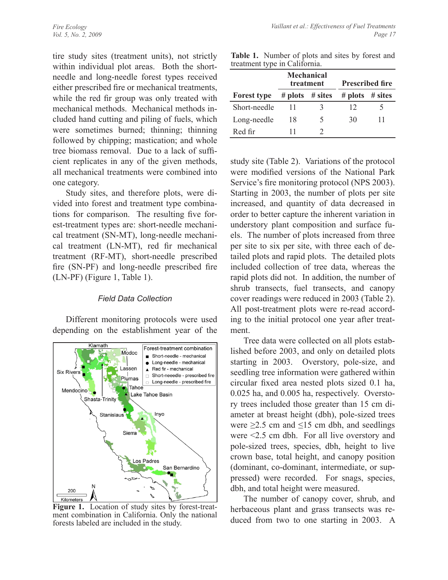tire study sites (treatment units), not strictly within individual plot areas. Both the shortneedle and long-needle forest types received either prescribed fire or mechanical treatments, while the red fir group was only treated with mechanical methods. Mechanical methods included hand cutting and piling of fuels, which were sometimes burned; thinning; thinning followed by chipping; mastication; and whole tree biomass removal. Due to a lack of sufficient replicates in any of the given methods, all mechanical treatments were combined into one category.

Study sites, and therefore plots, were divided into forest and treatment type combinations for comparison. The resulting five forest-treatment types are: short-needle mechanical treatment (SN-MT), long-needle mechanical treatment (LN-MT), red fir mechanical treatment (RF-MT), short-needle prescribed fire (SN-PF) and long-needle prescribed fire (LN-PF) (Figure 1, Table 1).

#### *Field Data Collection*

Different monitoring protocols were used depending on the establishment year of the



**Figure 1.** Location of study sites by forest-treat- ment combination in California. Only the national forests labeled are included in the study.

**Table 1.** Number of plots and sites by forest and treatment type in California.

|                    | <b>Mechanical</b>         | treatment | <b>Prescribed fire</b>   |    |  |
|--------------------|---------------------------|-----------|--------------------------|----|--|
| <b>Forest type</b> | # plots $# \text{ sites}$ |           | # plots $# \text{sites}$ |    |  |
| Short-needle       | 11                        | 2         | 12                       |    |  |
| Long-needle        | 18                        | 5         | 30                       | 11 |  |
| Red fir            | 11                        |           |                          |    |  |

study site (Table 2). Variations of the protocol were modified versions of the National Park Service's fire monitoring protocol (NPS 2003). Starting in 2003, the number of plots per site increased, and quantity of data decreased in order to better capture the inherent variation in understory plant composition and surface fuels. The number of plots increased from three per site to six per site, with three each of detailed plots and rapid plots. The detailed plots included collection of tree data, whereas the rapid plots did not. In addition, the number of shrub transects, fuel transects, and canopy cover readings were reduced in 2003 (Table 2). All post-treatment plots were re-read according to the initial protocol one year after treatment.

Tree data were collected on all plots established before 2003, and only on detailed plots starting in 2003. Overstory, pole-size, and seedling tree information were gathered within circular fixed area nested plots sized 0.1 ha, 0.025 ha, and 0.005 ha, respectively. Overstory trees included those greater than 15 cm diameter at breast height (dbh), pole-sized trees were  $\geq$ 2.5 cm and  $\leq$ 15 cm dbh, and seedlings were <2.5 cm dbh. For all live overstory and pole-sized trees, species, dbh, height to live crown base, total height, and canopy position (dominant, co-dominant, intermediate, or suppressed) were recorded. For snags, species, dbh, and total height were measured.

The number of canopy cover, shrub, and herbaceous plant and grass transects was reduced from two to one starting in 2003. A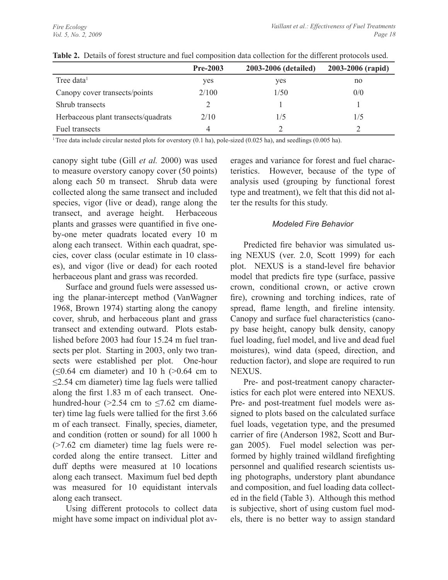|                                     | <b>Pre-2003</b> | 2003-2006 (detailed) | 2003-2006 (rapid) |
|-------------------------------------|-----------------|----------------------|-------------------|
| Tree data <sup>1</sup>              | yes             | yes                  | no                |
| Canopy cover transects/points       | 2/100           | 1/50                 | 0/0               |
| Shrub transects                     |                 |                      |                   |
| Herbaceous plant transects/quadrats | 2/10            | 1/5                  | 1/5               |
| Fuel transects                      | 4               |                      |                   |

| <b>Table 2.</b> Details of forest structure and fuel composition data collection for the different protocols used. |  |  |  |
|--------------------------------------------------------------------------------------------------------------------|--|--|--|
|                                                                                                                    |  |  |  |

<sup>1</sup> Tree data include circular nested plots for overstory (0.1 ha), pole-sized (0.025 ha), and seedlings (0.005 ha).

canopy sight tube (Gill *et al.* 2000) was used to measure overstory canopy cover (50 points) along each 50 m transect. Shrub data were collected along the same transect and included species, vigor (live or dead), range along the transect, and average height. Herbaceous plants and grasses were quantified in five oneby-one meter quadrats located every 10 m along each transect. Within each quadrat, species, cover class (ocular estimate in 10 classes), and vigor (live or dead) for each rooted herbaceous plant and grass was recorded.

Surface and ground fuels were assessed using the planar-intercept method (VanWagner 1968, Brown 1974) starting along the canopy cover, shrub, and herbaceous plant and grass transect and extending outward. Plots established before 2003 had four 15.24 m fuel transects per plot. Starting in 2003, only two transects were established per plot. One-hour  $(\leq 0.64$  cm diameter) and 10 h (>0.64 cm to  $\leq$ 2.54 cm diameter) time lag fuels were tallied along the first 1.83 m of each transect. Onehundred-hour ( $>2.54$  cm to  $\leq$ 7.62 cm diameter) time lag fuels were tallied for the first 3.66 m of each transect. Finally, species, diameter, and condition (rotten or sound) for all 1000 h (>7.62 cm diameter) time lag fuels were recorded along the entire transect. Litter and duff depths were measured at 10 locations along each transect. Maximum fuel bed depth was measured for 10 equidistant intervals along each transect.

Using different protocols to collect data might have some impact on individual plot averages and variance for forest and fuel characteristics. However, because of the type of analysis used (grouping by functional forest type and treatment), we felt that this did not alter the results for this study.

## *Modeled Fire Behavior*

Predicted fire behavior was simulated using NEXUS (ver. 2.0, Scott 1999) for each plot. NEXUS is a stand-level fire behavior model that predicts fire type (surface, passive crown, conditional crown, or active crown fire), crowning and torching indices, rate of spread, flame length, and fireline intensity. Canopy and surface fuel characteristics (canopy base height, canopy bulk density, canopy fuel loading, fuel model, and live and dead fuel moistures), wind data (speed, direction, and reduction factor), and slope are required to run NEXUS.

Pre- and post-treatment canopy characteristics for each plot were entered into NEXUS. Pre- and post-treatment fuel models were assigned to plots based on the calculated surface fuel loads, vegetation type, and the presumed carrier of fire (Anderson 1982, Scott and Burgan 2005). Fuel model selection was performed by highly trained wildland firefighting personnel and qualified research scientists using photographs, understory plant abundance and composition, and fuel loading data collected in the field (Table 3). Although this method is subjective, short of using custom fuel models, there is no better way to assign standard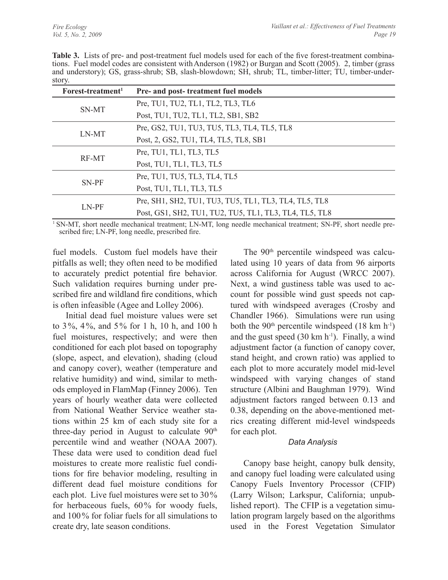| <b>Table 3.</b> Lists of pre- and post-treatment fuel models used for each of the five forest-treatment combina- |
|------------------------------------------------------------------------------------------------------------------|
| tions. Fuel model codes are consistent with Anderson (1982) or Burgan and Scott (2005). 2, timber (grass         |
| and understory); GS, grass-shrub; SB, slash-blowdown; SH, shrub; TL, timber-litter; TU, timber-under-            |
| story.                                                                                                           |

| Forest-treatment <sup>1</sup> | Pre- and post-treatment fuel models                    |
|-------------------------------|--------------------------------------------------------|
| SN-MT                         | Pre, TU1, TU2, TL1, TL2, TL3, TL6                      |
|                               | Post, TU1, TU2, TL1, TL2, SB1, SB2                     |
|                               | Pre, GS2, TU1, TU3, TU5, TL3, TL4, TL5, TL8            |
| LN-MT                         | Post, 2, GS2, TU1, TL4, TL5, TL8, SB1                  |
|                               | Pre, TU1, TL1, TL3, TL5                                |
| RF-MT                         | Post, TU1, TL1, TL3, TL5                               |
| SN-PF                         | Pre, TU1, TU5, TL3, TL4, TL5                           |
|                               | Post, TU1, TL1, TL3, TL5                               |
| LN-PF                         | Pre, SH1, SH2, TU1, TU3, TU5, TL1, TL3, TL4, TL5, TL8  |
|                               | Post, GS1, SH2, TU1, TU2, TU5, TL1, TL3, TL4, TL5, TL8 |

1 SN-MT, short needle mechanical treatment; LN-MT, long needle mechanical treatment; SN-PF, short needle prescribed fire; LN-PF, long needle, prescribed fire.

fuel models. Custom fuel models have their pitfalls as well; they often need to be modified to accurately predict potential fire behavior. Such validation requires burning under prescribed fire and wildland fire conditions, which is often infeasible (Agee and Lolley 2006).

Initial dead fuel moisture values were set to 3%, 4%, and 5% for 1 h, 10 h, and 100 h fuel moistures, respectively; and were then conditioned for each plot based on topography (slope, aspect, and elevation), shading (cloud and canopy cover), weather (temperature and relative humidity) and wind, similar to methods employed in FlamMap (Finney 2006). Ten years of hourly weather data were collected from National Weather Service weather stations within 25 km of each study site for a three-day period in August to calculate 90<sup>th</sup> percentile wind and weather (NOAA 2007). These data were used to condition dead fuel moistures to create more realistic fuel conditions for fire behavior modeling, resulting in different dead fuel moisture conditions for each plot. Live fuel moistures were set to 30% for herbaceous fuels, 60% for woody fuels, and 100% for foliar fuels for all simulations to create dry, late season conditions.

The 90<sup>th</sup> percentile windspeed was calculated using 10 years of data from 96 airports across California for August (WRCC 2007). Next, a wind gustiness table was used to account for possible wind gust speeds not captured with windspeed averages (Crosby and Chandler 1966). Simulations were run using both the  $90<sup>th</sup>$  percentile windspeed (18 km h<sup>-1</sup>) and the gust speed  $(30 \text{ km h}^{-1})$ . Finally, a wind adjustment factor (a function of canopy cover, stand height, and crown ratio) was applied to each plot to more accurately model mid-level windspeed with varying changes of stand structure (Albini and Baughman 1979). Wind adjustment factors ranged between 0.13 and 0.38, depending on the above-mentioned metrics creating different mid-level windspeeds for each plot.

#### *Data Analysis*

Canopy base height, canopy bulk density, and canopy fuel loading were calculated using Canopy Fuels Inventory Processor (CFIP) (Larry Wilson; Larkspur, California; unpublished report). The CFIP is a vegetation simulation program largely based on the algorithms used in the Forest Vegetation Simulator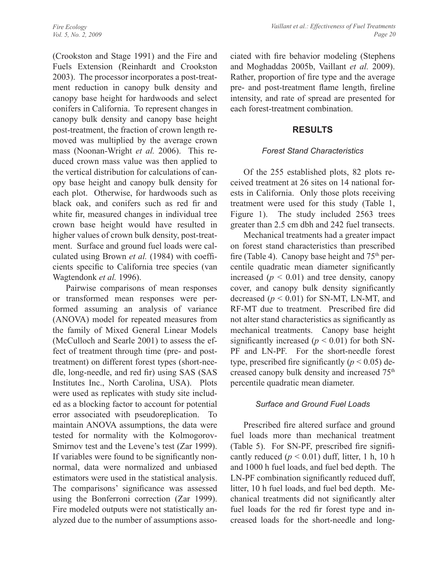(Crookston and Stage 1991) and the Fire and Fuels Extension (Reinhardt and Crookston 2003). The processor incorporates a post-treatment reduction in canopy bulk density and canopy base height for hardwoods and select conifers in California. To represent changes in canopy bulk density and canopy base height post-treatment, the fraction of crown length removed was multiplied by the average crown mass (Noonan-Wright *et al.* 2006). This reduced crown mass value was then applied to the vertical distribution for calculations of canopy base height and canopy bulk density for each plot. Otherwise, for hardwoods such as black oak, and conifers such as red fir and white fir, measured changes in individual tree crown base height would have resulted in higher values of crown bulk density, post-treatment. Surface and ground fuel loads were calculated using Brown *et al.* (1984) with coefficients specific to California tree species (van Wagtendonk *et al.* 1996).

Pairwise comparisons of mean responses or transformed mean responses were performed assuming an analysis of variance (ANOVA) model for repeated measures from the family of Mixed General Linear Models (McCulloch and Searle 2001) to assess the effect of treatment through time (pre- and posttreatment) on different forest types (short-needle, long-needle, and red fir) using SAS (SAS Institutes Inc., North Carolina, USA). Plots were used as replicates with study site included as a blocking factor to account for potential error associated with pseudoreplication. To maintain ANOVA assumptions, the data were tested for normality with the Kolmogorov-Smirnov test and the Levene's test (Zar 1999). If variables were found to be significantly nonnormal, data were normalized and unbiased estimators were used in the statistical analysis. The comparisons' significance was assessed using the Bonferroni correction (Zar 1999). Fire modeled outputs were not statistically analyzed due to the number of assumptions associated with fire behavior modeling (Stephens and Moghaddas 2005b, Vaillant *et al.* 2009). Rather, proportion of fire type and the average pre- and post-treatment flame length, fireline intensity, and rate of spread are presented for each forest-treatment combination.

### **RESULTS**

## *Forest Stand Characteristics*

Of the 255 established plots, 82 plots received treatment at 26 sites on 14 national forests in California. Only those plots receiving treatment were used for this study (Table 1, Figure 1). The study included 2563 trees greater than 2.5 cm dbh and 242 fuel transects.

Mechanical treatments had a greater impact on forest stand characteristics than prescribed fire (Table 4). Canopy base height and  $75<sup>th</sup>$  percentile quadratic mean diameter significantly increased  $(p < 0.01)$  and tree density, canopy cover, and canopy bulk density significantly decreased  $(p < 0.01)$  for SN-MT, LN-MT, and RF-MT due to treatment. Prescribed fire did not alter stand characteristics as significantly as mechanical treatments. Canopy base height significantly increased ( $p < 0.01$ ) for both SN-PF and LN-PF. For the short-needle forest type, prescribed fire significantly ( $p < 0.05$ ) decreased canopy bulk density and increased 75th percentile quadratic mean diameter.

## *Surface and Ground Fuel Loads*

Prescribed fire altered surface and ground fuel loads more than mechanical treatment (Table 5). For SN-PF, prescribed fire significantly reduced  $(p < 0.01)$  duff, litter, 1 h, 10 h and 1000 h fuel loads, and fuel bed depth. The LN-PF combination significantly reduced duff, litter, 10 h fuel loads, and fuel bed depth. Mechanical treatments did not significantly alter fuel loads for the red fir forest type and increased loads for the short-needle and long-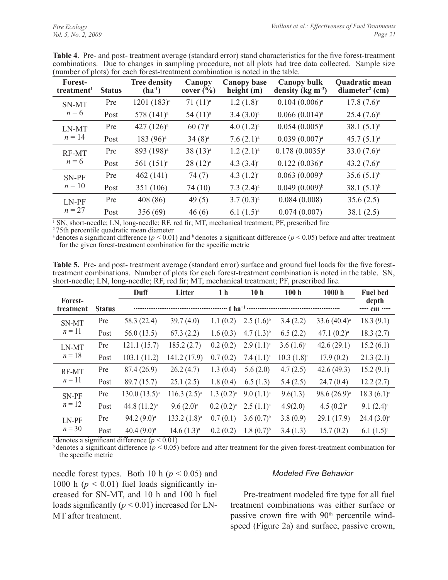| Forest-<br>treatment <sup>1</sup> | <b>Status</b> | <b>Tree density</b><br>$(ha^{-1})$ | Canopy<br>cover $(\% )$ | <b>Canopy base</b><br>height (m) | <b>Canopy bulk</b><br>density ( $kg \, \text{m}^{-3}$ ) | Quadratic mean<br>$diameter2$ (cm) |
|-----------------------------------|---------------|------------------------------------|-------------------------|----------------------------------|---------------------------------------------------------|------------------------------------|
| SN-MT                             | Pre           | $1201(183)^{a}$                    | $71(11)^a$              | $1.2 (1.8)^a$                    | $0.104 (0.006)^a$                                       | $17.8 (7.6)^a$                     |
| $n = 6$                           | Post          | 578 (141) <sup>a</sup>             | 54(11) <sup>a</sup>     | $3.4 (3.0)^a$                    | 0.066(0.014) <sup>a</sup>                               | $25.4(7.6)^a$                      |
| LN-MT<br>$n = 14$                 | Pre           | 427 $(126)^a$                      | $60(7)$ <sup>a</sup>    | $4.0 (1.2)^a$                    | $0.054(0.005)^{a}$                                      | $38.1(5.1)^a$                      |
|                                   | Post          | 183 $(96)^a$                       | $34(8)^a$               | 7.6 $(2.1)^a$                    | 0.039(0.007) <sup>a</sup>                               | $45.7(5.1)^a$                      |
| <b>RF-MT</b><br>$n = 6$           | Pre           | 893 (198) <sup>a</sup>             | $38(13)^{a}$            | $1.2 (2.1)^a$                    | $0.178(0.0035)^{a}$                                     | 33.0 $(7.6)^a$                     |
|                                   | Post          | 561 $(151)^a$                      | $28(12)^{a}$            | 4.3 $(3.4)^a$                    | 0.122(0.036) <sup>a</sup>                               | 43.2 $(7.6)^a$                     |
| <b>SN-PF</b><br>$n=10$            | Pre           | 462 (141)                          | 74(7)                   | 4.3 $(1.2)^a$                    | $0.063(0.009)^{b}$                                      | $35.6(5.1)^{b}$                    |
|                                   | Post          | 351 (106)                          | 74 (10)                 | 7.3 $(2.4)^a$                    | $(0.049\ (0.009)^{b})$                                  | 38.1 $(5.1)^{b}$                   |
| LN-PF<br>$n = 27$                 | Pre           | 408 (86)                           | 49(5)                   | $3.7(0.3)^a$                     | 0.084(0.008)                                            | 35.6(2.5)                          |
|                                   | Post          | 356 (69)                           | 46(6)                   | $6.1(1.5)^a$                     | 0.074(0.007)                                            | 38.1(2.5)                          |

**Table 4**. Pre- and post- treatment average (standard error) stand characteristics for the five forest-treatment combinations. Due to changes in sampling procedure, not all plots had tree data collected. Sample size (number of plots) for each forest-treatment combination is noted in the table.

<sup>1</sup> SN, short-needle; LN, long-needle; RF, red fir; MT, mechanical treatment; PF, prescribed fire

2 75th percentile quadratic mean diameter

<sup>a</sup> denotes a significant difference ( $p < 0.01$ ) and <sup>b</sup> denotes a significant difference ( $p < 0.05$ ) before and after treatment for the given forest-treatment combination for the specific metric

**Table 5.** Pre- and post- treatment average (standard error) surface and ground fuel loads for the five foresttreatment combinations. Number of plots for each forest-treatment combination is noted in the table. SN, short-needle; LN, long-needle; RF, red fir; MT, mechanical treatment; PF, prescribed fire.

|                      |               | <b>Duff</b>       | Litter                  | 1 <sub>h</sub>         | 10 <sub>h</sub> | 100 <sub>h</sub> | 1000h                      | <b>Fuel bed</b>               |
|----------------------|---------------|-------------------|-------------------------|------------------------|-----------------|------------------|----------------------------|-------------------------------|
| Forest-<br>treatment | <b>Status</b> |                   |                         |                        |                 |                  |                            | depth<br>$\cdots$ cm $\cdots$ |
| SN-MT                | Pre           | 58.3 (22.4)       | 39.7(4.0)               | 1.1(0.2)               | $2.5(1.6)^{b}$  | 3.4(2.2)         | 33.6 $(40.4)$ <sup>a</sup> | 18.3(9.1)                     |
| $n=11$               | Post          | 56.0(13.5)        | 67.3(2.2)               | 1.6(0.3)               | $4.7(1.3)^{b}$  | 6.5(2.2)         | 47.1 $(0.2)^a$             | 18.3(2.7)                     |
| LN-MT                | Pre           | 121.1(15.7)       | 185.2(2.7)              | 0.2(0.2)               | $2.9(1.1)^a$    | $3.6(1.6)^a$     | 42.6(29.1)                 | 15.2(6.1)                     |
| $n = 18$             | Post          | 103.1(11.2)       | 141.2 (17.9)            | 0.7(0.2)               | $7.4 (1.1)^a$   | $10.3 (1.8)^a$   | 17.9(0.2)                  | 21.3(2.1)                     |
| RF-MT                | Pre           | 87.4 (26.9)       | 26.2(4.7)               | 1.3(0.4)               | 5.6(2.0)        | 4.7(2.5)         | 42.6(49.3)                 | 15.2(9.1)                     |
| $n=11$               | Post          | 89.7 (15.7)       | 25.1(2.5)               | 1.8(0.4)               | 6.5(1.3)        | 5.4(2.5)         | 24.7(0.4)                  | 12.2(2.7)                     |
| SN-PF<br>$n = 12$    | Pre           | $130.0(13.5)^{a}$ | $116.3 (2.5)^{a}$       | 1.3 (0.2) <sup>a</sup> | $9.0(1.1)^a$    | 9.6(1.3)         | 98.6 (26.9) <sup>a</sup>   | $18.3(6.1)^a$                 |
|                      | Post          | 44.8 $(11.2)^a$   | $9.6(2.0)$ <sup>a</sup> | $0.2(0.2)^a$           | $2.5(1.1)^a$    | 4.9(2.0)         | $4.5(0.2)^a$               | $9.1(2.4)$ <sup>a</sup>       |
| LN-PF<br>$n = 30$    | Pre           | 94.2 $(9.0)^a$    | $133.2 (1.8)^a$         | 0.7(0.1)               | $3.6(0.7)^{b}$  | 3.8(0.9)         | 29.1 (17.9)                | $24.4(3.0)^a$                 |
|                      | Post          | 40.4 $(9.0)^a$    | $14.6(1.3)^a$           | 0.2(0.2)               | $1.8(0.7)^{b}$  | 3.4(1.3)         | 15.7(0.2)                  | $6.1(1.5)^a$                  |

<sup>a</sup> denotes a significant difference  $(p < 0.01)$ <br><sup>b</sup> denotes a significant difference  $(p < 0.05)$  before and after treatment for the given forest-treatment combination for the specific metric

needle forest types. Both 10 h ( $p < 0.05$ ) and 1000 h ( $p < 0.01$ ) fuel loads significantly increased for SN-MT, and 10 h and 100 h fuel loads significantly  $(p < 0.01)$  increased for LN-MT after treatment.

#### *Modeled Fire Behavior*

Pre-treatment modeled fire type for all fuel treatment combinations was either surface or passive crown fire with 90<sup>th</sup> percentile windspeed (Figure 2a) and surface, passive crown,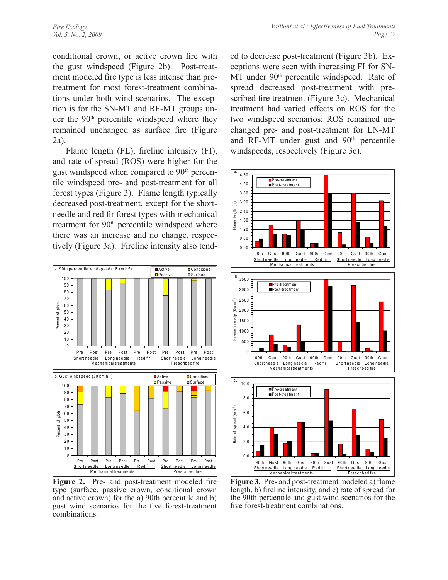conditional crown, or active crown fire with the gust windspeed (Figure 2b). Post-treatment modeled fire type is less intense than pretreatment for most forest-treatment combinations under both wind scenarios. The exception is for the SN-MT and RF-MT groups under the  $90<sup>th</sup>$  percentile windspeed where they remained unchanged as surface fire (Figure 2a).

Flame length (FL), fireline intensity (FI), and rate of spread (ROS) were higher for the gust windspeed when compared to 90<sup>th</sup> percentile windspeed pre- and post-treatment for all forest types (Figure 3). Flame length typically decreased post-treatment, except for the shortneedle and red fir forest types with mechanical treatment for 90<sup>th</sup> percentile windspeed where there was an increase and no change, respectively (Figure 3a). Fireline intensity also tend-



**Figure 2.** Pre- and post-treatment modeled fire type (surface, passive crown, conditional crown and active crown) for the a) 90th percentile and b) gust wind scenarios for the five forest-treatment combinations.

ed to decrease post-treatment (Figure 3b). Exceptions were seen with increasing FI for SN-MT under 90<sup>th</sup> percentile windspeed. Rate of spread decreased post-treatment with prescribed fire treatment (Figure 3c). Mechanical treatment had varied effects on ROS for the two windspeed scenarios; ROS remained unchanged pre- and post-treatment for LN-MT and RF-MT under gust and 90<sup>th</sup> percentile windspeeds, respectively (Figure 3c).



**Figure 3.** Pre- and post-treatment modeled a) flame length, b) fireline intensity, and c) rate of spread for the 90th percentile and gust wind scenarios for the five forest-treatment combinations.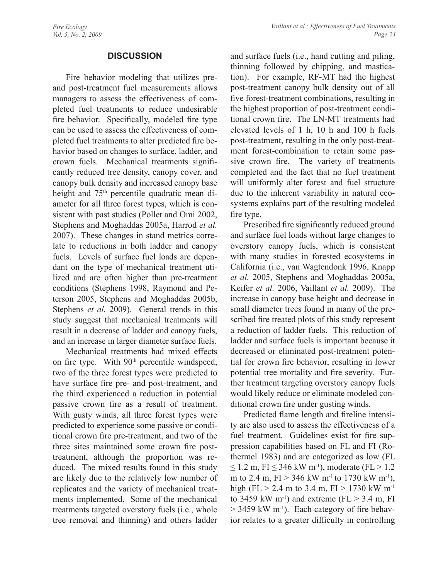#### **DISCUSSION**

Fire behavior modeling that utilizes preand post-treatment fuel measurements allows managers to assess the effectiveness of completed fuel treatments to reduce undesirable fire behavior. Specifically, modeled fire type can be used to assess the effectiveness of completed fuel treatments to alter predicted fire behavior based on changes to surface, ladder, and crown fuels. Mechanical treatments significantly reduced tree density, canopy cover, and canopy bulk density and increased canopy base height and 75<sup>th</sup> percentile quadratic mean diameter for all three forest types, which is consistent with past studies (Pollet and Omi 2002, Stephens and Moghaddas 2005a, Harrod *et al.* 2007). These changes in stand metrics correlate to reductions in both ladder and canopy fuels. Levels of surface fuel loads are dependant on the type of mechanical treatment utilized and are often higher than pre-treatment conditions (Stephens 1998, Raymond and Peterson 2005, Stephens and Moghaddas 2005b, Stephens *et al.* 2009). General trends in this study suggest that mechanical treatments will result in a decrease of ladder and canopy fuels, and an increase in larger diameter surface fuels.

Mechanical treatments had mixed effects on fire type. With 90<sup>th</sup> percentile windspeed, two of the three forest types were predicted to have surface fire pre- and post-treatment, and the third experienced a reduction in potential passive crown fire as a result of treatment. With gusty winds, all three forest types were predicted to experience some passive or conditional crown fire pre-treatment, and two of the three sites maintained some crown fire posttreatment, although the proportion was reduced. The mixed results found in this study are likely due to the relatively low number of replicates and the variety of mechanical treatments implemented. Some of the mechanical treatments targeted overstory fuels (i.e., whole tree removal and thinning) and others ladder

and surface fuels (i.e., hand cutting and piling, thinning followed by chipping, and mastication). For example, RF-MT had the highest post-treatment canopy bulk density out of all five forest-treatment combinations, resulting in the highest proportion of post-treatment conditional crown fire. The LN-MT treatments had elevated levels of 1 h, 10 h and 100 h fuels post-treatment, resulting in the only post-treatment forest-combination to retain some passive crown fire. The variety of treatments completed and the fact that no fuel treatment will uniformly alter forest and fuel structure due to the inherent variability in natural ecosystems explains part of the resulting modeled fire type.

Prescribed fire significantly reduced ground and surface fuel loads without large changes to overstory canopy fuels, which is consistent with many studies in forested ecosystems in California (i.e., van Wagtendonk 1996, Knapp *et al.* 2005, Stephens and Moghaddas 2005a, Keifer *et al.* 2006, Vaillant *et al.* 2009). The increase in canopy base height and decrease in small diameter trees found in many of the prescribed fire treated plots of this study represent a reduction of ladder fuels. This reduction of ladder and surface fuels is important because it decreased or eliminated post-treatment potential for crown fire behavior, resulting in lower potential tree mortality and fire severity. Further treatment targeting overstory canopy fuels would likely reduce or eliminate modeled conditional crown fire under gusting winds.

Predicted flame length and fireline intensity are also used to assess the effectiveness of a fuel treatment. Guidelines exist for fire suppression capabilities based on FL and FI (Rothermel 1983) and are categorized as low (FL  $≤ 1.2$  m, FI ≤ 346 kW m<sup>-1</sup>), moderate (FL > 1.2 m to 2.4 m,  $FI$  > 346 kW m<sup>-1</sup> to 1730 kW m<sup>-1</sup>), high (FL  $>$  2.4 m to 3.4 m, FI  $>$  1730 kW m<sup>-1</sup> to 3459 kW m<sup>-1</sup>) and extreme (FL  $>$  3.4 m, FI  $>$  3459 kW m<sup>-1</sup>). Each category of fire behavior relates to a greater difficulty in controlling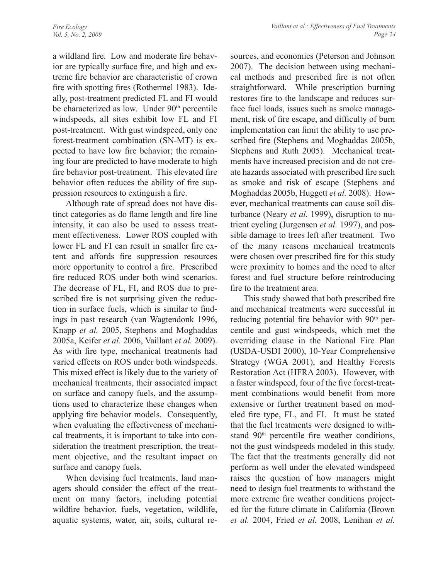a wildland fire. Low and moderate fire behavior are typically surface fire, and high and extreme fire behavior are characteristic of crown fire with spotting fires (Rothermel 1983). Ideally, post-treatment predicted FL and FI would be characterized as low. Under 90<sup>th</sup> percentile windspeeds, all sites exhibit low FL and FI post-treatment. With gust windspeed, only one forest-treatment combination (SN-MT) is expected to have low fire behavior; the remaining four are predicted to have moderate to high fire behavior post-treatment. This elevated fire behavior often reduces the ability of fire suppression resources to extinguish a fire.

Although rate of spread does not have distinct categories as do flame length and fire line intensity, it can also be used to assess treatment effectiveness. Lower ROS coupled with lower FL and FI can result in smaller fire extent and affords fire suppression resources more opportunity to control a fire. Prescribed fire reduced ROS under both wind scenarios. The decrease of FL, FI, and ROS due to prescribed fire is not surprising given the reduction in surface fuels, which is similar to findings in past research (van Wagtendonk 1996, Knapp *et al.* 2005, Stephens and Moghaddas 2005a, Keifer *et al.* 2006, Vaillant *et al.* 2009). As with fire type, mechanical treatments had varied effects on ROS under both windspeeds. This mixed effect is likely due to the variety of mechanical treatments, their associated impact on surface and canopy fuels, and the assumptions used to characterize these changes when applying fire behavior models. Consequently, when evaluating the effectiveness of mechanical treatments, it is important to take into consideration the treatment prescription, the treatment objective, and the resultant impact on surface and canopy fuels.

When devising fuel treatments, land managers should consider the effect of the treatment on many factors, including potential wildfire behavior, fuels, vegetation, wildlife, aquatic systems, water, air, soils, cultural resources, and economics (Peterson and Johnson 2007). The decision between using mechanical methods and prescribed fire is not often straightforward. While prescription burning restores fire to the landscape and reduces surface fuel loads, issues such as smoke management, risk of fire escape, and difficulty of burn implementation can limit the ability to use prescribed fire (Stephens and Moghaddas 2005b, Stephens and Ruth 2005). Mechanical treatments have increased precision and do not create hazards associated with prescribed fire such as smoke and risk of escape (Stephens and Moghaddas 2005b, Huggett *et al.* 2008). However, mechanical treatments can cause soil disturbance (Neary *et al.* 1999), disruption to nutrient cycling (Jurgensen *et al.* 1997), and possible damage to trees left after treatment. Two of the many reasons mechanical treatments were chosen over prescribed fire for this study were proximity to homes and the need to alter forest and fuel structure before reintroducing fire to the treatment area.

This study showed that both prescribed fire and mechanical treatments were successful in reducing potential fire behavior with 90<sup>th</sup> percentile and gust windspeeds, which met the overriding clause in the National Fire Plan (USDA-USDI 2000), 10-Year Comprehensive Strategy (WGA 2001), and Healthy Forests Restoration Act (HFRA 2003). However, with a faster windspeed, four of the five forest-treatment combinations would benefit from more extensive or further treatment based on modeled fire type, FL, and FI. It must be stated that the fuel treatments were designed to withstand 90<sup>th</sup> percentile fire weather conditions, not the gust windspeeds modeled in this study. The fact that the treatments generally did not perform as well under the elevated windspeed raises the question of how managers might need to design fuel treatments to withstand the more extreme fire weather conditions projected for the future climate in California (Brown *et al.* 2004, Fried *et al.* 2008, Lenihan *et al.*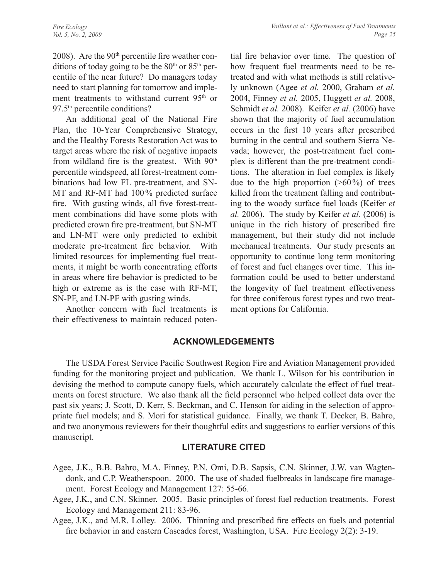2008). Are the  $90<sup>th</sup>$  percentile fire weather conditions of today going to be the  $80<sup>th</sup>$  or  $85<sup>th</sup>$  percentile of the near future? Do managers today need to start planning for tomorrow and implement treatments to withstand current 95<sup>th</sup> or 97.5th percentile conditions?

An additional goal of the National Fire Plan, the 10-Year Comprehensive Strategy, and the Healthy Forests Restoration Act was to target areas where the risk of negative impacts from wildland fire is the greatest. With 90<sup>th</sup> percentile windspeed, all forest-treatment combinations had low FL pre-treatment, and SN-MT and RF-MT had 100% predicted surface fire. With gusting winds, all five forest-treatment combinations did have some plots with predicted crown fire pre-treatment, but SN-MT and LN-MT were only predicted to exhibit moderate pre-treatment fire behavior. With limited resources for implementing fuel treatments, it might be worth concentrating efforts in areas where fire behavior is predicted to be high or extreme as is the case with RF-MT, SN-PF, and LN-PF with gusting winds.

Another concern with fuel treatments is their effectiveness to maintain reduced potential fire behavior over time. The question of how frequent fuel treatments need to be retreated and with what methods is still relatively unknown (Agee *et al.* 2000, Graham *et al.* 2004, Finney *et al.* 2005, Huggett *et al.* 2008, Schmidt *et al.* 2008). Keifer *et al.* (2006) have shown that the majority of fuel accumulation occurs in the first 10 years after prescribed burning in the central and southern Sierra Nevada; however, the post-treatment fuel complex is different than the pre-treatment conditions. The alteration in fuel complex is likely due to the high proportion  $(260\%)$  of trees killed from the treatment falling and contributing to the woody surface fuel loads (Keifer *et al.* 2006). The study by Keifer *et al.* (2006) is unique in the rich history of prescribed fire management, but their study did not include mechanical treatments. Our study presents an opportunity to continue long term monitoring of forest and fuel changes over time. This information could be used to better understand the longevity of fuel treatment effectiveness for three coniferous forest types and two treatment options for California.

## **ACKNOWLEDGEMENTS**

The USDA Forest Service Pacific Southwest Region Fire and Aviation Management provided funding for the monitoring project and publication. We thank L. Wilson for his contribution in devising the method to compute canopy fuels, which accurately calculate the effect of fuel treatments on forest structure. We also thank all the field personnel who helped collect data over the past six years; J. Scott, D. Kerr, S. Beckman, and C. Henson for aiding in the selection of appropriate fuel models; and S. Mori for statistical guidance. Finally, we thank T. Decker, B. Bahro, and two anonymous reviewers for their thoughtful edits and suggestions to earlier versions of this manuscript.

## **LITERATURE CITED**

- Agee, J.K., B.B. Bahro, M.A. Finney, P.N. Omi, D.B. Sapsis, C.N. Skinner, J.W. van Wagtendonk, and C.P. Weatherspoon. 2000. The use of shaded fuelbreaks in landscape fire management. Forest Ecology and Management 127: 55-66.
- Agee, J.K., and C.N. Skinner. 2005. Basic principles of forest fuel reduction treatments. Forest Ecology and Management 211: 83-96.
- Agee, J.K., and M.R. Lolley. 2006. Thinning and prescribed fire effects on fuels and potential fire behavior in and eastern Cascades forest, Washington, USA. Fire Ecology 2(2): 3-19.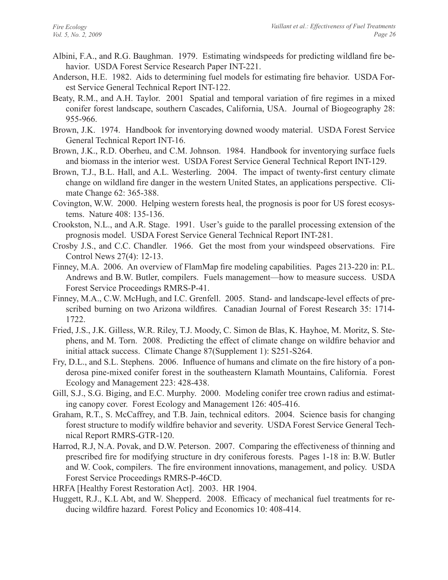- Albini, F.A., and R.G. Baughman. 1979. Estimating windspeeds for predicting wildland fire behavior. USDA Forest Service Research Paper INT-221.
- Anderson, H.E. 1982. Aids to determining fuel models for estimating fire behavior. USDA Forest Service General Technical Report INT-122.
- Beaty, R.M., and A.H. Taylor. 2001 Spatial and temporal variation of fire regimes in a mixed conifer forest landscape, southern Cascades, California, USA. Journal of Biogeography 28: 955-966.
- Brown, J.K. 1974. Handbook for inventorying downed woody material. USDA Forest Service General Technical Report INT-16.
- Brown, J.K., R.D. Oberheu, and C.M. Johnson. 1984. Handbook for inventorying surface fuels and biomass in the interior west. USDA Forest Service General Technical Report INT-129.
- Brown, T.J., B.L. Hall, and A.L. Westerling. 2004. The impact of twenty-first century climate change on wildland fire danger in the western United States, an applications perspective. Climate Change 62: 365-388.
- Covington, W.W. 2000. Helping western forests heal, the prognosis is poor for US forest ecosystems. Nature 408: 135-136.
- Crookston, N.L., and A.R. Stage. 1991. User's guide to the parallel processing extension of the prognosis model. USDA Forest Service General Technical Report INT-281.
- Crosby J.S., and C.C. Chandler. 1966. Get the most from your windspeed observations. Fire Control News 27(4): 12-13.
- Finney, M.A. 2006. An overview of FlamMap fire modeling capabilities. Pages 213-220 in: P.L. Andrews and B.W. Butler, compilers. Fuels management—how to measure success. USDA Forest Service Proceedings RMRS-P-41.
- Finney, M.A., C.W. McHugh, and I.C. Grenfell. 2005. Stand- and landscape-level effects of prescribed burning on two Arizona wildfires. Canadian Journal of Forest Research 35: 1714- 1722.
- Fried, J.S., J.K. Gilless, W.R. Riley, T.J. Moody, C. Simon de Blas, K. Hayhoe, M. Moritz, S. Stephens, and M. Torn. 2008. Predicting the effect of climate change on wildfire behavior and initial attack success. Climate Change 87(Supplement 1): S251-S264.
- Fry, D.L., and S.L. Stephens. 2006. Influence of humans and climate on the fire history of a ponderosa pine-mixed conifer forest in the southeastern Klamath Mountains, California. Forest Ecology and Management 223: 428-438.
- Gill, S.J., S.G. Biging, and E.C. Murphy. 2000. Modeling conifer tree crown radius and estimating canopy cover. Forest Ecology and Management 126: 405-416.
- Graham, R.T., S. McCaffrey, and T.B. Jain, technical editors. 2004. Science basis for changing forest structure to modify wildfire behavior and severity. USDA Forest Service General Technical Report RMRS-GTR-120.
- Harrod, R.J, N.A. Povak, and D.W. Peterson. 2007. Comparing the effectiveness of thinning and prescribed fire for modifying structure in dry coniferous forests. Pages 1-18 in: B.W. Butler and W. Cook, compilers. The fire environment innovations, management, and policy. USDA Forest Service Proceedings RMRS-P-46CD.
- HRFA [Healthy Forest Restoration Act]. 2003. HR 1904.
- Huggett, R.J., K.L Abt, and W. Shepperd. 2008. Efficacy of mechanical fuel treatments for reducing wildfire hazard. Forest Policy and Economics 10: 408-414.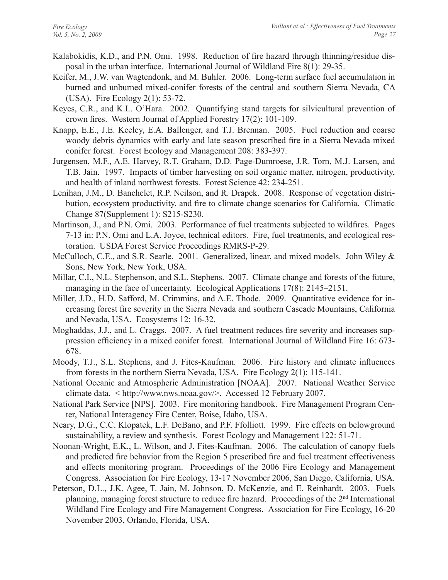- Kalabokidis, K.D., and P.N. Omi. 1998. Reduction of fire hazard through thinning/residue disposal in the urban interface. International Journal of Wildland Fire 8(1): 29-35.
- Keifer, M., J.W. van Wagtendonk, and M. Buhler. 2006. Long-term surface fuel accumulation in burned and unburned mixed-conifer forests of the central and southern Sierra Nevada, CA (USA). Fire Ecology 2(1): 53-72.
- Keyes, C.R., and K.L. O'Hara. 2002. Quantifying stand targets for silvicultural prevention of crown fires. Western Journal of Applied Forestry 17(2): 101-109.
- Knapp, E.E., J.E. Keeley, E.A. Ballenger, and T.J. Brennan. 2005. Fuel reduction and coarse woody debris dynamics with early and late season prescribed fire in a Sierra Nevada mixed conifer forest. Forest Ecology and Management 208: 383-397.
- Jurgensen, M.F., A.E. Harvey, R.T. Graham, D.D. Page-Dumroese, J.R. Torn, M.J. Larsen, and T.B. Jain. 1997. Impacts of timber harvesting on soil organic matter, nitrogen, productivity, and health of inland northwest forests. Forest Science 42: 234-251.
- Lenihan, J.M., D. Banchelet, R.P. Neilson, and R. Drapek. 2008. Response of vegetation distribution, ecosystem productivity, and fire to climate change scenarios for California. Climatic Change 87(Supplement 1): S215-S230.
- Martinson, J., and P.N. Omi. 2003. Performance of fuel treatments subjected to wildfires. Pages 7-13 in: P.N. Omi and L.A. Joyce, technical editors. Fire, fuel treatments, and ecological restoration. USDA Forest Service Proceedings RMRS-P-29.
- McCulloch, C.E., and S.R. Searle. 2001. Generalized, linear, and mixed models. John Wiley & Sons, New York, New York, USA.
- Millar, C.I., N.L. Stephenson, and S.L. Stephens. 2007. Climate change and forests of the future, managing in the face of uncertainty. Ecological Applications 17(8): 2145–2151.
- Miller, J.D., H.D. Safford, M. Crimmins, and A.E. Thode. 2009. Quantitative evidence for increasing forest fire severity in the Sierra Nevada and southern Cascade Mountains, California and Nevada, USA. Ecosystems 12: 16-32.
- Moghaddas, J.J., and L. Craggs. 2007. A fuel treatment reduces fire severity and increases suppression efficiency in a mixed conifer forest. International Journal of Wildland Fire 16: 673- 678.
- Moody, T.J., S.L. Stephens, and J. Fites-Kaufman. 2006. Fire history and climate influences from forests in the northern Sierra Nevada, USA. Fire Ecology 2(1): 115-141.
- National Oceanic and Atmospheric Administration [NOAA]. 2007. National Weather Service climate data. < http://www.nws.noaa.gov/>. Accessed 12 February 2007.
- National Park Service [NPS]. 2003. Fire monitoring handbook. Fire Management Program Center, National Interagency Fire Center, Boise, Idaho, USA.
- Neary, D.G., C.C. Klopatek, L.F. DeBano, and P.F. Ffolliott. 1999. Fire effects on belowground sustainability, a review and synthesis. Forest Ecology and Management 122: 51-71.
- Noonan-Wright, E.K., L. Wilson, and J. Fites-Kaufman. 2006. The calculation of canopy fuels and predicted fire behavior from the Region 5 prescribed fire and fuel treatment effectiveness and effects monitoring program. Proceedings of the 2006 Fire Ecology and Management Congress. Association for Fire Ecology, 13-17 November 2006, San Diego, California, USA.
- Peterson, D.L., J.K. Agee, T. Jain, M. Johnson, D. McKenzie, and E. Reinhardt. 2003. Fuels planning, managing forest structure to reduce fire hazard. Proceedings of the 2<sup>nd</sup> International Wildland Fire Ecology and Fire Management Congress. Association for Fire Ecology, 16-20 November 2003, Orlando, Florida, USA.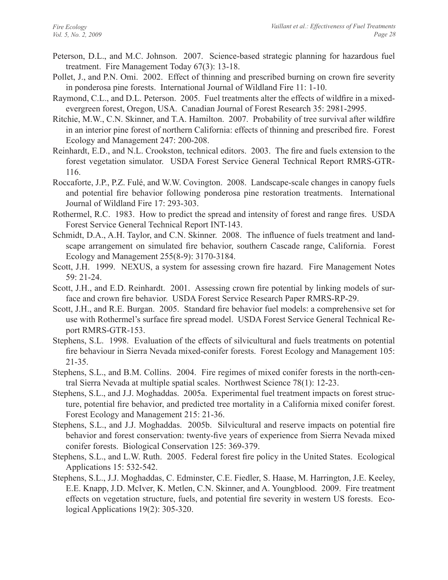- Peterson, D.L., and M.C. Johnson. 2007. Science-based strategic planning for hazardous fuel treatment. Fire Management Today 67(3): 13-18.
- Pollet, J., and P.N. Omi. 2002. Effect of thinning and prescribed burning on crown fire severity in ponderosa pine forests. International Journal of Wildland Fire 11: 1-10.
- Raymond, C.L., and D.L. Peterson. 2005. Fuel treatments alter the effects of wildfire in a mixedevergreen forest, Oregon, USA. Canadian Journal of Forest Research 35: 2981-2995.
- Ritchie, M.W., C.N. Skinner, and T.A. Hamilton. 2007. Probability of tree survival after wildfire in an interior pine forest of northern California: effects of thinning and prescribed fire. Forest Ecology and Management 247: 200-208.
- Reinhardt, E.D., and N.L. Crookston, technical editors. 2003. The fire and fuels extension to the forest vegetation simulator. USDA Forest Service General Technical Report RMRS-GTR-116.
- Roccaforte, J.P., P.Z. Fulé, and W.W. Covington. 2008. Landscape-scale changes in canopy fuels and potential fire behavior following ponderosa pine restoration treatments. International Journal of Wildland Fire 17: 293-303.
- Rothermel, R.C. 1983. How to predict the spread and intensity of forest and range fires. USDA Forest Service General Technical Report INT-143.
- Schmidt, D.A., A.H. Taylor, and C.N. Skinner. 2008. The influence of fuels treatment and landscape arrangement on simulated fire behavior, southern Cascade range, California. Forest Ecology and Management 255(8-9): 3170-3184.
- Scott, J.H. 1999. NEXUS, a system for assessing crown fire hazard. Fire Management Notes 59: 21-24.
- Scott, J.H., and E.D. Reinhardt. 2001. Assessing crown fire potential by linking models of surface and crown fire behavior. USDA Forest Service Research Paper RMRS-RP-29.
- Scott, J.H., and R.E. Burgan. 2005. Standard fire behavior fuel models: a comprehensive set for use with Rothermel's surface fire spread model. USDA Forest Service General Technical Report RMRS-GTR-153.
- Stephens, S.L. 1998. Evaluation of the effects of silvicultural and fuels treatments on potential fire behaviour in Sierra Nevada mixed-conifer forests. Forest Ecology and Management 105: 21-35.
- Stephens, S.L., and B.M. Collins. 2004. Fire regimes of mixed conifer forests in the north-central Sierra Nevada at multiple spatial scales. Northwest Science 78(1): 12-23.
- Stephens, S.L., and J.J. Moghaddas. 2005a. Experimental fuel treatment impacts on forest structure, potential fire behavior, and predicted tree mortality in a California mixed conifer forest. Forest Ecology and Management 215: 21-36.
- Stephens, S.L., and J.J. Moghaddas. 2005b. Silvicultural and reserve impacts on potential fire behavior and forest conservation: twenty-five years of experience from Sierra Nevada mixed conifer forests. Biological Conservation 125: 369-379.
- Stephens, S.L., and L.W. Ruth. 2005. Federal forest fire policy in the United States. Ecological Applications 15: 532-542.
- Stephens, S.L., J.J. Moghaddas, C. Edminster, C.E. Fiedler, S. Haase, M. Harrington, J.E. Keeley, E.E. Knapp, J.D. McIver, K. Metlen, C.N. Skinner, and A. Youngblood. 2009. Fire treatment effects on vegetation structure, fuels, and potential fire severity in western US forests. Ecological Applications 19(2): 305-320.